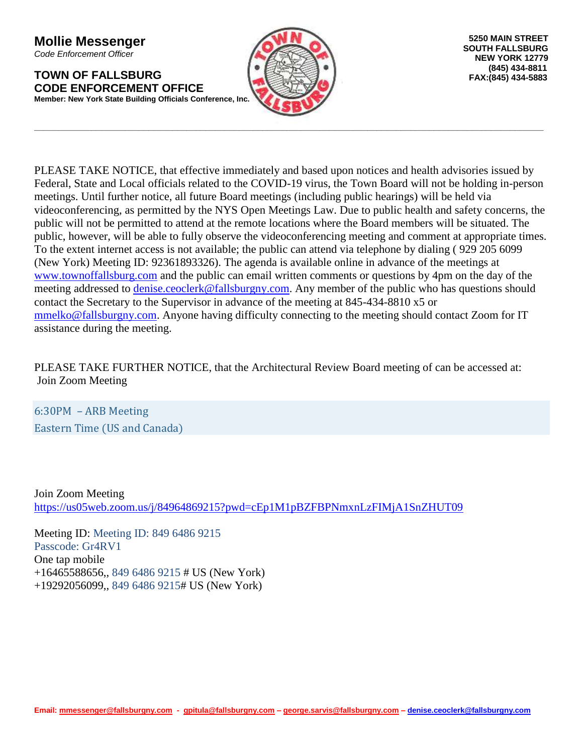**Mollie Messenger** *Code Enforcement Officer*

**TOWN OF FALLSBURG CODE ENFORCEMENT OFFICE Member: New York State Building Officials Conference, Inc.**



**\_\_\_\_\_\_\_\_\_\_\_\_\_\_\_\_\_\_\_\_\_\_\_\_\_\_\_\_\_\_\_\_\_\_\_\_\_\_\_\_\_\_\_\_\_\_\_\_\_\_\_\_\_\_\_\_\_\_\_\_\_\_\_\_\_\_\_\_\_\_\_\_\_\_\_\_\_\_\_\_\_\_\_\_\_\_\_\_\_\_\_\_\_\_\_\_\_\_\_\_\_\_\_\_\_\_\_**

PLEASE TAKE NOTICE, that effective immediately and based upon notices and health advisories issued by Federal, State and Local officials related to the COVID-19 virus, the Town Board will not be holding in-person meetings. Until further notice, all future Board meetings (including public hearings) will be held via videoconferencing, as permitted by the NYS Open Meetings Law. Due to public health and safety concerns, the public will not be permitted to attend at the remote locations where the Board members will be situated. The public, however, will be able to fully observe the videoconferencing meeting and comment at appropriate times. To the extent internet access is not available; the public can attend via telephone by dialing ( 929 205 6099 (New York) Meeting ID: 92361893326). The agenda is available online in advance of the meetings at [www.townoffallsburg.com](http://www.townoffallsburg.com/) and the public can email written comments or questions by 4pm on the day of the meeting addressed to [denise.ceoclerk@fallsburgny.com.](mailto:denise.ceoclerk@fallsburgny.com) Any member of the public who has questions should contact the Secretary to the Supervisor in advance of the meeting at 845-434-8810 x5 or [mmelko@fallsburgny.com.](mailto:mmelko@fallsburgny.com) Anyone having difficulty connecting to the meeting should contact Zoom for IT assistance during the meeting.

PLEASE TAKE FURTHER NOTICE, that the Architectural Review Board meeting of can be accessed at: Join Zoom Meeting

6:30PM – ARB Meeting Eastern Time (US and Canada)

Join Zoom Meeting <https://us05web.zoom.us/j/84964869215?pwd=cEp1M1pBZFBPNmxnLzFIMjA1SnZHUT09>

Meeting ID: Meeting ID: 849 6486 9215 Passcode: Gr4RV1 One tap mobile +16465588656,, 849 6486 9215 # US (New York) +19292056099,, 849 6486 9215# US (New York)